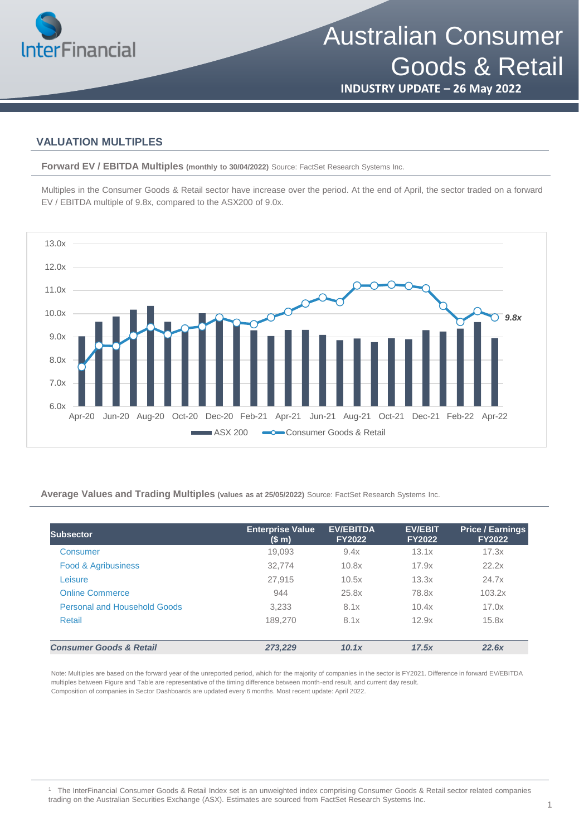

Australian Consumer Goods & Retail

**INDUSTRY UPDATE – 26 May 2022**

### **VALUATION MULTIPLES**

**Forward EV / EBITDA Multiples (monthly to 30/04/2022)** Source: FactSet Research Systems Inc.

Multiples in the Consumer Goods & Retail sector have increase over the period. At the end of April, the sector traded on a forward EV / EBITDA multiple of 9.8x, compared to the ASX200 of 9.0x.



**Average Values and Trading Multiples (values as at 25/05/2022)** Source: FactSet Research Systems Inc.

| Subsector                           | <b>Enterprise Value</b><br>(\$m) | <b>EV/EBITDA</b><br><b>FY2022</b> | <b>EV/EBIT</b><br><b>FY2022</b> | <b>Price / Earnings</b><br><b>FY2022</b> |
|-------------------------------------|----------------------------------|-----------------------------------|---------------------------------|------------------------------------------|
| Consumer                            | 19,093                           | 9.4x                              | 13.1x                           | 17.3x                                    |
| <b>Food &amp; Agribusiness</b>      | 32.774                           | 10.8x                             | 17.9x                           | 22.2x                                    |
| Leisure                             | 27.915                           | 10.5x                             | 13.3x                           | 24.7x                                    |
| <b>Online Commerce</b>              | 944                              | 25.8x                             | 78.8x                           | 103.2x                                   |
| <b>Personal and Household Goods</b> | 3,233                            | 8.1x                              | 10.4x                           | 17.0x                                    |
| Retail                              | 189,270                          | 8.1x                              | 12.9x                           | 15.8x                                    |
| <b>Consumer Goods &amp; Retail</b>  | 273.229                          | 10.1x                             | 17.5x                           | 22.6x                                    |

Note: Multiples are based on the forward year of the unreported period, which for the majority of companies in the sector is FY2021. Difference in forward EV/EBITDA multiples between Figure and Table are representative of the timing difference between month-end result, and current day result. Composition of companies in Sector Dashboards are updated every 6 months. Most recent update: April 2022.

<sup>1</sup> The InterFinancial Consumer Goods & Retail Index set is an unweighted index comprising Consumer Goods & Retail sector related companies trading on the Australian Securities Exchange (ASX). Estimates are sourced from FactSet Research Systems Inc.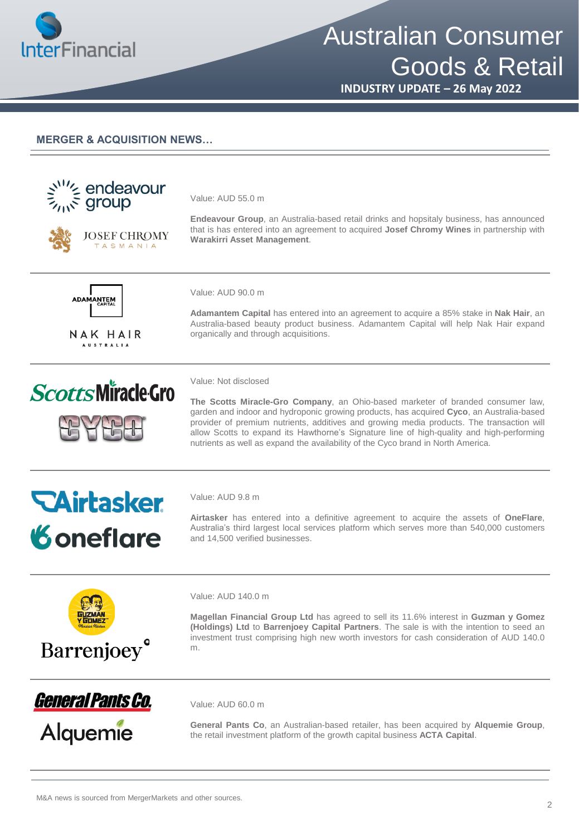

# Australian Consumer Goods & Retail

**INDUSTRY UPDATE – 26 May 2022**

#### **MERGER & ACQUISITION NEWS…**

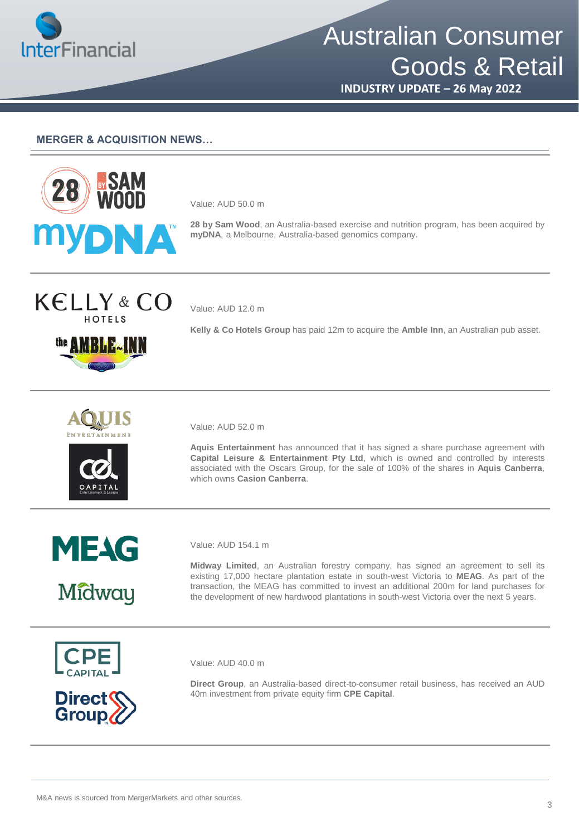

# Australian Consumer Goods & Retail

**INDUSTRY UPDATE – 26 May 2022**

#### **MERGER & ACQUISITION NEWS…**



Value: AUD 50.0 m

**28 by Sam Wood**, an Australia-based exercise and nutrition program, has been acquired by **myDNA**, a Melbourne, Australia-based genomics company.





Value: AUD 12.0 m

**Kelly & Co Hotels Group** has paid 12m to acquire the **Amble Inn**, an Australian pub asset.





Value: AUD 52.0 m

**Aquis Entertainment** has announced that it has signed a share purchase agreement with **Capital Leisure & Entertainment Pty Ltd**, which is owned and controlled by interests associated with the Oscars Group, for the sale of 100% of the shares in **Aquis Canberra**, which owns **Casion Canberra**.



Midway

Value: AUD 154.1 m

**Midway Limited**, an Australian forestry company, has signed an agreement to sell its existing 17,000 hectare plantation estate in south-west Victoria to **MEAG**. As part of the transaction, the MEAG has committed to invest an additional 200m for land purchases for the development of new hardwood plantations in south-west Victoria over the next 5 years.





Value: AUD 40.0 m

**Direct Group**, an Australia-based direct-to-consumer retail business, has received an AUD 40m investment from private equity firm **CPE Capital**.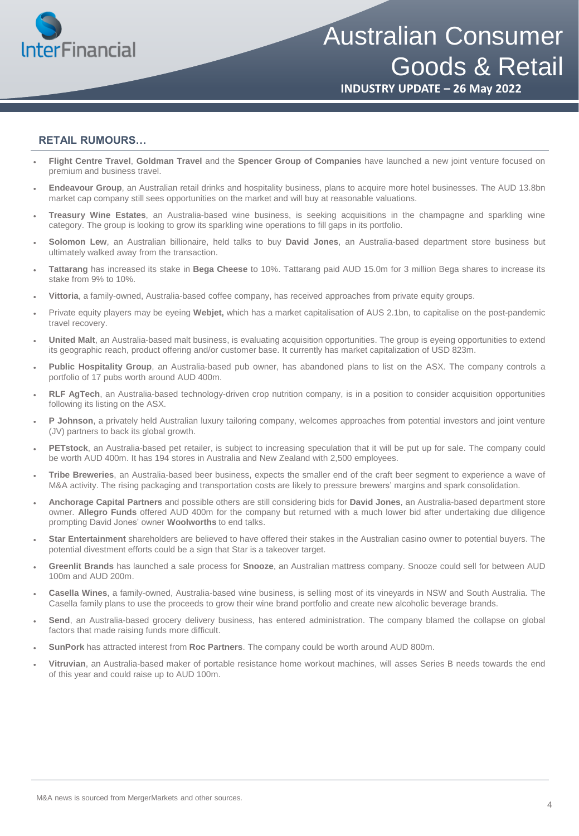

#### **RETAIL RUMOURS…**

- **Flight Centre Travel**, **Goldman Travel** and the **Spencer Group of Companies** have launched a new joint venture focused on premium and business travel.
- **Endeavour Group**, an Australian retail drinks and hospitality business, plans to acquire more hotel businesses. The AUD 13.8bn market cap company still sees opportunities on the market and will buy at reasonable valuations.
- **Treasury Wine Estates**, an Australia-based wine business, is seeking acquisitions in the champagne and sparkling wine category. The group is looking to grow its sparkling wine operations to fill gaps in its portfolio.
- **Solomon Lew**, an Australian billionaire, held talks to buy **David Jones**, an Australia-based department store business but ultimately walked away from the transaction.
- **Tattarang** has increased its stake in **Bega Cheese** to 10%. Tattarang paid AUD 15.0m for 3 million Bega shares to increase its stake from 9% to 10%.
- **Vittoria**, a family-owned, Australia-based coffee company, has received approaches from private equity groups.
- Private equity players may be eyeing **Webjet,** which has a market capitalisation of AUS 2.1bn, to capitalise on the post-pandemic travel recovery.
- **United Malt**, an Australia-based malt business, is evaluating acquisition opportunities. The group is eyeing opportunities to extend its geographic reach, product offering and/or customer base. It currently has market capitalization of USD 823m.
- **Public Hospitality Group**, an Australia-based pub owner, has abandoned plans to list on the ASX. The company controls a portfolio of 17 pubs worth around AUD 400m.
- **RLF AgTech**, an Australia-based technology-driven crop nutrition company, is in a position to consider acquisition opportunities following its listing on the ASX.
- **P Johnson**, a privately held Australian luxury tailoring company, welcomes approaches from potential investors and joint venture (JV) partners to back its global growth.
- **PETstock**, an Australia-based pet retailer, is subject to increasing speculation that it will be put up for sale. The company could be worth AUD 400m. It has 194 stores in Australia and New Zealand with 2,500 employees.
- **Tribe Breweries**, an Australia-based beer business, expects the smaller end of the craft beer segment to experience a wave of M&A activity. The rising packaging and transportation costs are likely to pressure brewers' margins and spark consolidation.
- **Anchorage Capital Partners** and possible others are still considering bids for **David Jones**, an Australia-based department store owner. **Allegro Funds** offered AUD 400m for the company but returned with a much lower bid after undertaking due diligence prompting David Jones' owner **Woolworths** to end talks.
- **Star Entertainment** shareholders are believed to have offered their stakes in the Australian casino owner to potential buyers. The potential divestment efforts could be a sign that Star is a takeover target.
- **Greenlit Brands** has launched a sale process for **Snooze**, an Australian mattress company. Snooze could sell for between AUD 100m and AUD 200m.
- **Casella Wines**, a family-owned, Australia-based wine business, is selling most of its vineyards in NSW and South Australia. The Casella family plans to use the proceeds to grow their wine brand portfolio and create new alcoholic beverage brands.
- **Send**, an Australia-based grocery delivery business, has entered administration. The company blamed the collapse on global factors that made raising funds more difficult.
- **SunPork** has attracted interest from **Roc Partners**. The company could be worth around AUD 800m.
- **Vitruvian**, an Australia-based maker of portable resistance home workout machines, will asses Series B needs towards the end of this year and could raise up to AUD 100m.